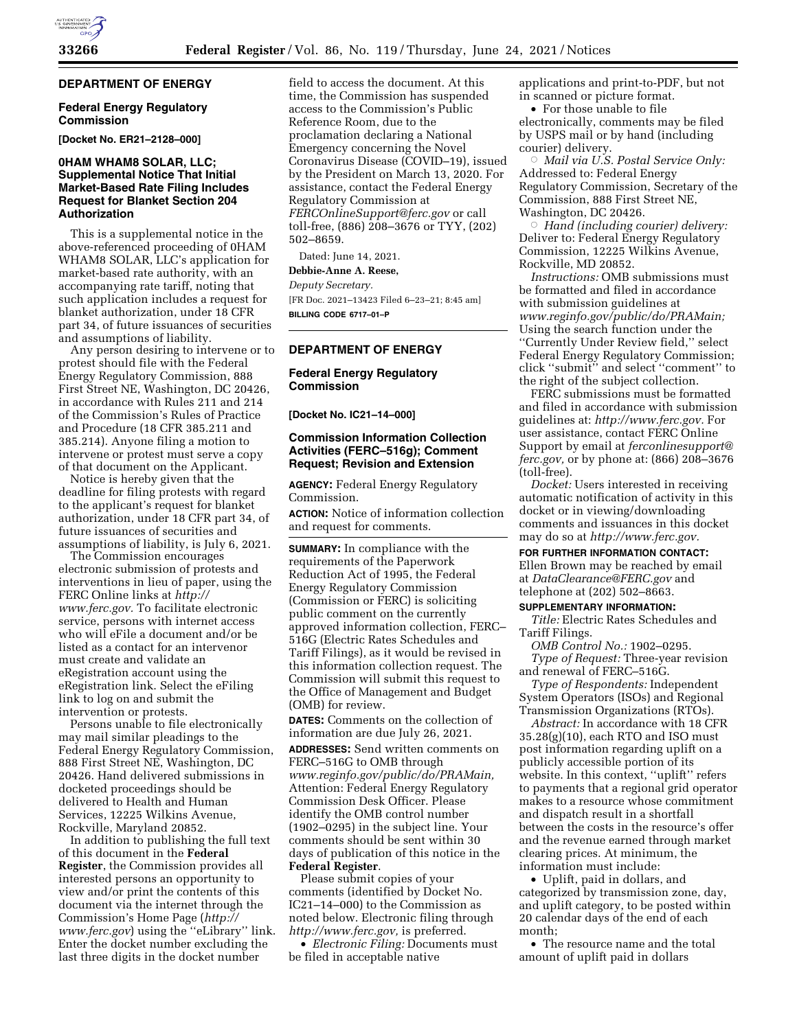# **DEPARTMENT OF ENERGY**

#### **Federal Energy Regulatory Commission**

**[Docket No. ER21–2128–000]** 

## **0HAM WHAM8 SOLAR, LLC; Supplemental Notice That Initial Market-Based Rate Filing Includes Request for Blanket Section 204 Authorization**

This is a supplemental notice in the above-referenced proceeding of 0HAM WHAM8 SOLAR, LLC's application for market-based rate authority, with an accompanying rate tariff, noting that such application includes a request for blanket authorization, under 18 CFR part 34, of future issuances of securities and assumptions of liability.

Any person desiring to intervene or to protest should file with the Federal Energy Regulatory Commission, 888 First Street NE, Washington, DC 20426, in accordance with Rules 211 and 214 of the Commission's Rules of Practice and Procedure (18 CFR 385.211 and 385.214). Anyone filing a motion to intervene or protest must serve a copy of that document on the Applicant.

Notice is hereby given that the deadline for filing protests with regard to the applicant's request for blanket authorization, under 18 CFR part 34, of future issuances of securities and assumptions of liability, is July 6, 2021.

The Commission encourages electronic submission of protests and interventions in lieu of paper, using the FERC Online links at *[http://](http://www.ferc.gov) [www.ferc.gov.](http://www.ferc.gov)* To facilitate electronic service, persons with internet access who will eFile a document and/or be listed as a contact for an intervenor must create and validate an eRegistration account using the eRegistration link. Select the eFiling link to log on and submit the intervention or protests.

Persons unable to file electronically may mail similar pleadings to the Federal Energy Regulatory Commission, 888 First Street NE, Washington, DC 20426. Hand delivered submissions in docketed proceedings should be delivered to Health and Human Services, 12225 Wilkins Avenue, Rockville, Maryland 20852.

In addition to publishing the full text of this document in the **Federal Register**, the Commission provides all interested persons an opportunity to view and/or print the contents of this document via the internet through the Commission's Home Page (*[http://](http://www.ferc.gov) [www.ferc.gov](http://www.ferc.gov)*) using the ''eLibrary'' link. Enter the docket number excluding the last three digits in the docket number

field to access the document. At this time, the Commission has suspended access to the Commission's Public Reference Room, due to the proclamation declaring a National Emergency concerning the Novel Coronavirus Disease (COVID–19), issued by the President on March 13, 2020. For assistance, contact the Federal Energy Regulatory Commission at *[FERCOnlineSupport@ferc.gov](mailto:FERCOnlineSupport@ferc.gov)* or call toll-free, (886) 208–3676 or TYY, (202) 502–8659.

Dated: June 14, 2021.

**Debbie-Anne A. Reese,** 

*Deputy Secretary.* 

[FR Doc. 2021–13423 Filed 6–23–21; 8:45 am] **BILLING CODE 6717–01–P** 

# **DEPARTMENT OF ENERGY**

#### **Federal Energy Regulatory Commission**

**[Docket No. IC21–14–000]** 

### **Commission Information Collection Activities (FERC–516g); Comment Request; Revision and Extension**

**AGENCY:** Federal Energy Regulatory Commission.

**ACTION:** Notice of information collection and request for comments.

**SUMMARY:** In compliance with the requirements of the Paperwork Reduction Act of 1995, the Federal Energy Regulatory Commission (Commission or FERC) is soliciting public comment on the currently approved information collection, FERC– 516G (Electric Rates Schedules and Tariff Filings), as it would be revised in this information collection request. The Commission will submit this request to the Office of Management and Budget (OMB) for review.

**DATES:** Comments on the collection of information are due July 26, 2021.

**ADDRESSES:** Send written comments on FERC–516G to OMB through *[www.reginfo.gov/public/do/PRAMain,](http://www.reginfo.gov/public/do/PRAMain)*  Attention: Federal Energy Regulatory Commission Desk Officer. Please identify the OMB control number (1902–0295) in the subject line. Your comments should be sent within 30 days of publication of this notice in the **Federal Register**.

Please submit copies of your comments (identified by Docket No. IC21–14–000) to the Commission as noted below. Electronic filing through *[http://www.ferc.gov,](http://www.ferc.gov)* is preferred.

• *Electronic Filing:* Documents must be filed in acceptable native

applications and print-to-PDF, but not in scanned or picture format.

• For those unable to file electronically, comments may be filed by USPS mail or by hand (including courier) delivery.

Æ *Mail via U.S. Postal Service Only:*  Addressed to: Federal Energy Regulatory Commission, Secretary of the Commission, 888 First Street NE, Washington, DC 20426.

 $\circ$  *Hand (including courier) delivery:*  Deliver to: Federal Energy Regulatory Commission, 12225 Wilkins Avenue, Rockville, MD 20852.

*Instructions:* OMB submissions must be formatted and filed in accordance with submission guidelines at *[www.reginfo.gov/public/do/PRAMain;](http://www.reginfo.gov/public/do/PRAMain)*  Using the search function under the ''Currently Under Review field,'' select Federal Energy Regulatory Commission; click ''submit'' and select ''comment'' to the right of the subject collection.

FERC submissions must be formatted and filed in accordance with submission guidelines at: *[http://www.ferc.gov.](http://www.ferc.gov)* For user assistance, contact FERC Online Support by email at *[ferconlinesupport@](mailto:ferconlinesupport@ferc.gov) [ferc.gov,](mailto:ferconlinesupport@ferc.gov)* or by phone at: (866) 208–3676 (toll-free).

*Docket:* Users interested in receiving automatic notification of activity in this docket or in viewing/downloading comments and issuances in this docket may do so at *[http://www.ferc.gov.](http://www.ferc.gov)* 

#### **FOR FURTHER INFORMATION CONTACT:**

Ellen Brown may be reached by email at *[DataClearance@FERC.gov](mailto:DataClearance@FERC.gov)* and telephone at (202) 502–8663.

#### **SUPPLEMENTARY INFORMATION:**

*Title:* Electric Rates Schedules and Tariff Filings.

*OMB Control No.:* 1902–0295. *Type of Request:* Three-year revision and renewal of FERC–516G.

*Type of Respondents:* Independent System Operators (ISOs) and Regional Transmission Organizations (RTOs).

*Abstract:* In accordance with 18 CFR 35.28(g)(10), each RTO and ISO must post information regarding uplift on a publicly accessible portion of its website. In this context, ''uplift'' refers to payments that a regional grid operator makes to a resource whose commitment and dispatch result in a shortfall between the costs in the resource's offer and the revenue earned through market clearing prices. At minimum, the information must include:

• Uplift, paid in dollars, and categorized by transmission zone, day, and uplift category, to be posted within 20 calendar days of the end of each month;

• The resource name and the total amount of uplift paid in dollars